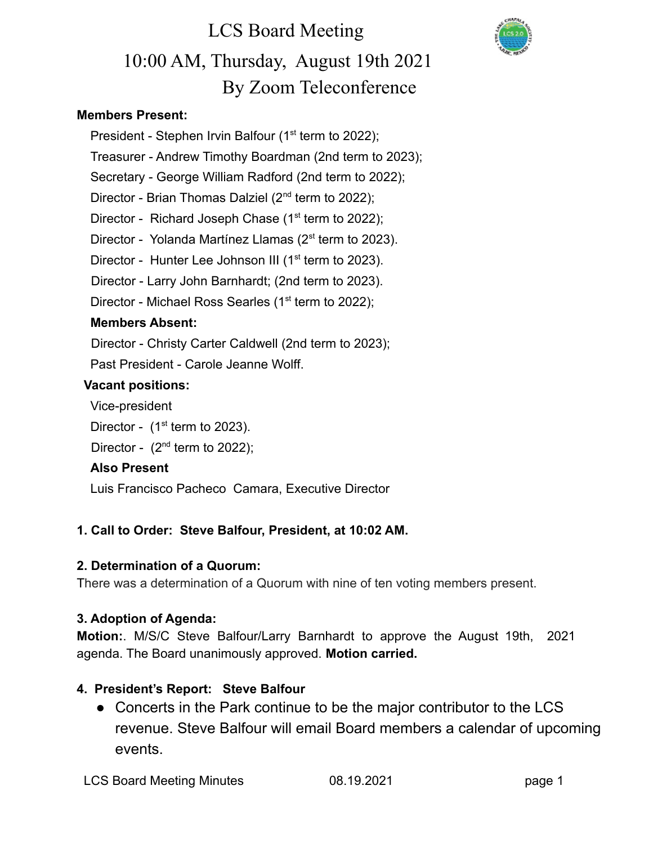

#### **Members Present:**

President - Stephen Irvin Balfour  $(1<sup>st</sup>$  term to 2022); Treasurer - Andrew Timothy Boardman (2nd term to 2023); Secretary - George William Radford (2nd term to 2022); Director - Brian Thomas Dalziel  $(2^{nd}$  term to 2022); Director - Richard Joseph Chase  $(1<sup>st</sup>$  term to 2022); Director - Yolanda Martínez Llamas (2<sup>st</sup> term to 2023). Director - Hunter Lee Johnson III (1<sup>st</sup> term to 2023). Director - Larry John Barnhardt; (2nd term to 2023). Director - Michael Ross Searles ( $1<sup>st</sup>$  term to 2022); **Members Absent:** Director - Christy Carter Caldwell (2nd term to 2023);

Past President - Carole Jeanne Wolff.

#### **Vacant positions:**

Vice-president

Director -  $(1<sup>st</sup>$  term to 2023).

Director -  $(2<sup>nd</sup>$  term to 2022);

#### **Also Present**

Luis Francisco Pacheco Camara, Executive Director

### **1. Call to Order: Steve Balfour, President, at 10:02 AM.**

#### **2. Determination of a Quorum:**

There was a determination of a Quorum with nine of ten voting members present.

#### **3. Adoption of Agenda:**

**Motion:**. M/S/C Steve Balfour/Larry Barnhardt to approve the August 19th, 2021 agenda. The Board unanimously approved. **Motion carried.**

### **4. President's Report: Steve Balfour**

• Concerts in the Park continue to be the major contributor to the LCS revenue. Steve Balfour will email Board members a calendar of upcoming events.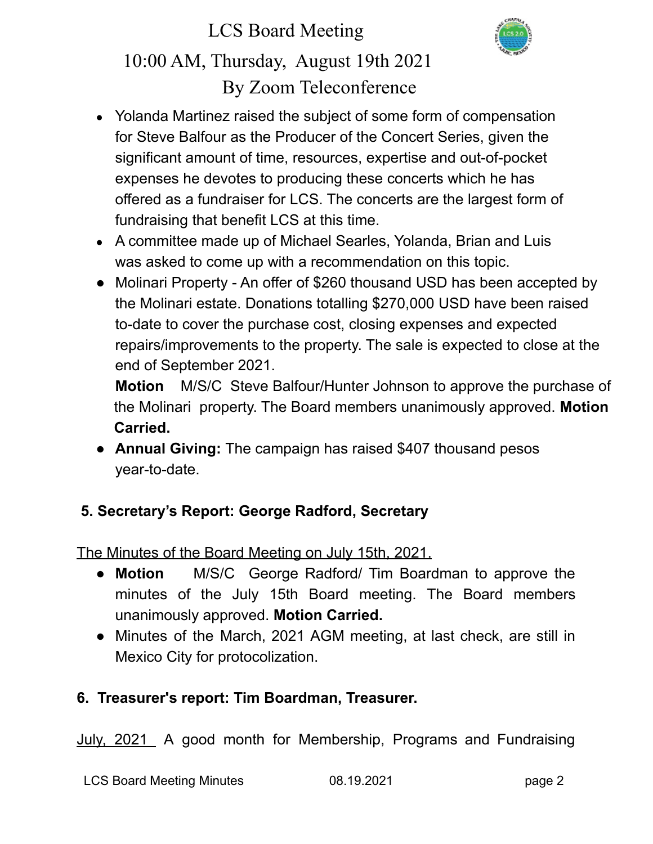

- Yolanda Martinez raised the subject of some form of compensation for Steve Balfour as the Producer of the Concert Series, given the significant amount of time, resources, expertise and out-of-pocket expenses he devotes to producing these concerts which he has offered as a fundraiser for LCS. The concerts are the largest form of fundraising that benefit LCS at this time.
- A committee made up of Michael Searles, Yolanda, Brian and Luis was asked to come up with a recommendation on this topic.
- Molinari Property An offer of \$260 thousand USD has been accepted by the Molinari estate. Donations totalling \$270,000 USD have been raised to-date to cover the purchase cost, closing expenses and expected repairs/improvements to the property. The sale is expected to close at the end of September 2021.

**Motion** M/S/C Steve Balfour/Hunter Johnson to approve the purchase of the Molinari property. The Board members unanimously approved. **Motion Carried.**

**● Annual Giving:** The campaign has raised \$407 thousand pesos year-to-date.

# **5. Secretary's Report: George Radford, Secretary**

The Minutes of the Board Meeting on July 15th, 2021.

- **Motion** M/S/C George Radford/ Tim Boardman to approve the minutes of the July 15th Board meeting. The Board members unanimously approved. **Motion Carried.**
- **●** Minutes of the March, 2021 AGM meeting, at last check, are still in Mexico City for protocolization.

# **6. Treasurer's report: Tim Boardman, Treasurer.**

July, 2021 A good month for Membership, Programs and Fundraising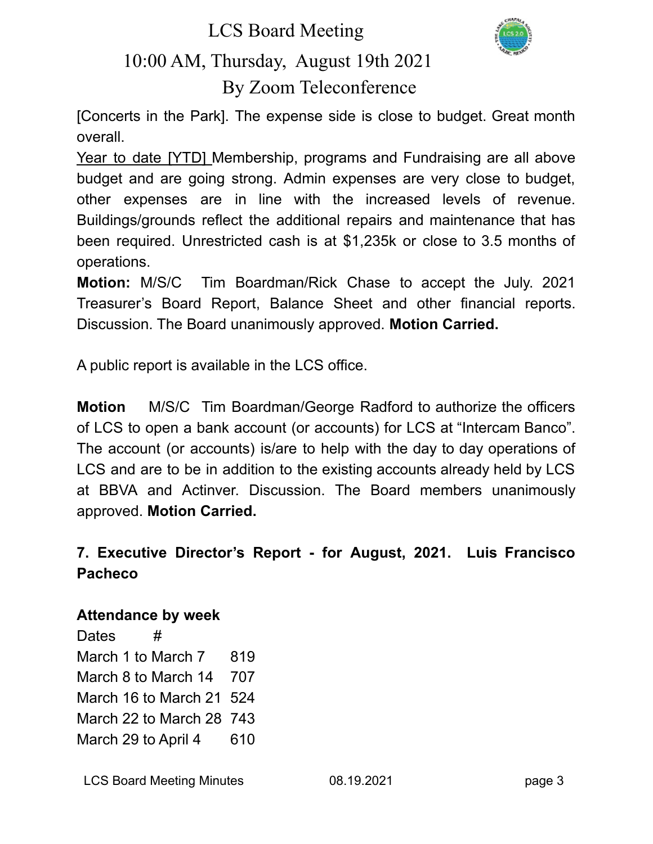LCS Board Meeting



# 10:00 AM, Thursday, August 19th 2021 By Zoom Teleconference

[Concerts in the Park]. The expense side is close to budget. Great month overall.

Year to date [YTD] Membership, programs and Fundraising are all above budget and are going strong. Admin expenses are very close to budget, other expenses are in line with the increased levels of revenue. Buildings/grounds reflect the additional repairs and maintenance that has been required. Unrestricted cash is at \$1,235k or close to 3.5 months of operations.

**Motion:** M/S/C Tim Boardman/Rick Chase to accept the July. 2021 Treasurer's Board Report, Balance Sheet and other financial reports. Discussion. The Board unanimously approved. **Motion Carried.**

A public report is available in the LCS office.

**Motion** M/S/C Tim Boardman/George Radford to authorize the officers of LCS to open a bank account (or accounts) for LCS at "Intercam Banco". The account (or accounts) is/are to help with the day to day operations of LCS and are to be in addition to the existing accounts already held by LCS at BBVA and Actinver. Discussion. The Board members unanimously approved. **Motion Carried.**

# **7. Executive Director's Report - for August, 2021. Luis Francisco Pacheco**

## **Attendance by week**

Dates # March 1 to March 7 819 March 8 to March 14 707 March 16 to March 21 524 March 22 to March 28 743 March 29 to April 4 610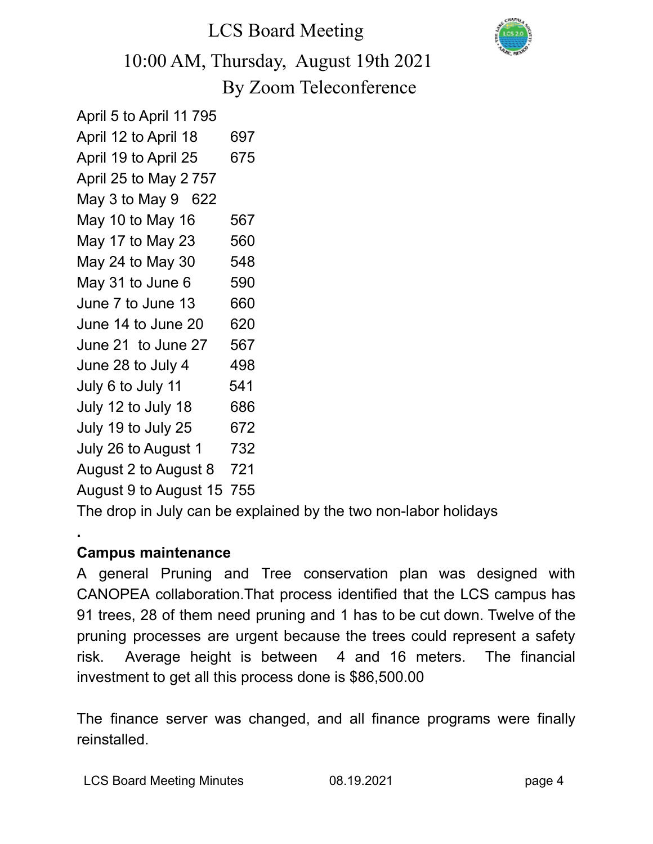

April 5 to April 11 795 April 12 to April 18 697 April 19 to April 25 675 April 25 to May 2 757 May 3 to May 9 622 May 10 to May 16 567 May 17 to May 23 560 May 24 to May 30 548 May 31 to June  $6$  590 June 7 to June 13 660 June 14 to June 20 620 June 21 to June 27 567 June 28 to July  $4 \overline{498}$ July 6 to July 11 541 July 12 to July 18 686 July 19 to July 25 672 July 26 to August 1 732 August 2 to August 8 721

August 9 to August 15 755

The drop in July can be explained by the two non-labor holidays

# **Campus maintenance**

**.**

A general Pruning and Tree conservation plan was designed with CANOPEA collaboration.That process identified that the LCS campus has 91 trees, 28 of them need pruning and 1 has to be cut down. Twelve of the pruning processes are urgent because the trees could represent a safety risk. Average height is between 4 and 16 meters. The financial investment to get all this process done is \$86,500.00

The finance server was changed, and all finance programs were finally reinstalled.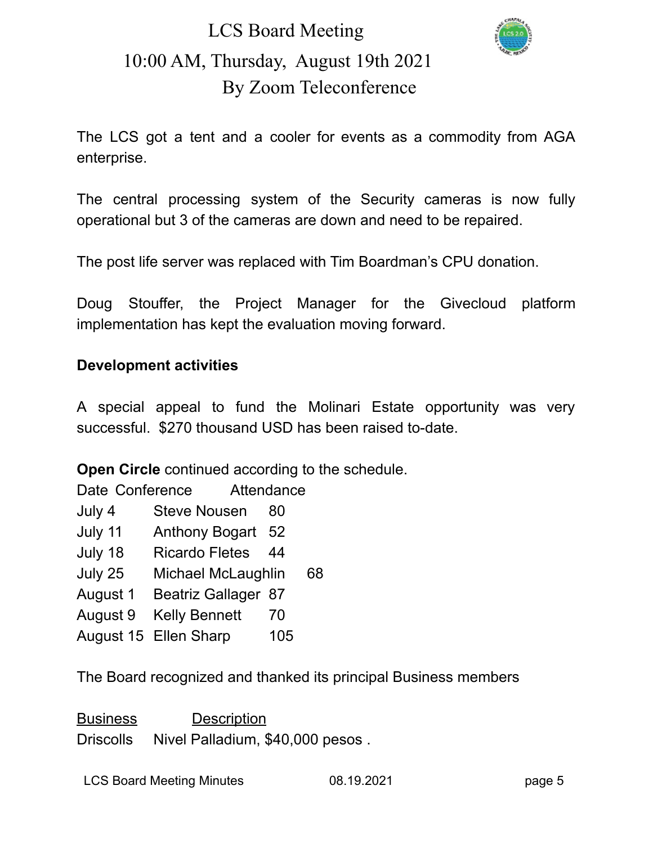

The LCS got a tent and a cooler for events as a commodity from AGA enterprise.

The central processing system of the Security cameras is now fully operational but 3 of the cameras are down and need to be repaired.

The post life server was replaced with Tim Boardman's CPU donation.

Doug Stouffer, the Project Manager for the Givecloud platform implementation has kept the evaluation moving forward.

### **Development activities**

A special appeal to fund the Molinari Estate opportunity was very successful. \$270 thousand USD has been raised to-date.

**Open Circle** continued according to the schedule.

Date Conference Attendance

- July 4 Steve Nousen 80
- July 11 Anthony Bogart 52
- July 18 Ricardo Fletes 44
- July 25 Michael McLaughlin 68
- August 1 Beatriz Gallager 87
- August 9 Kelly Bennett 70
- August 15 Ellen Sharp 105

The Board recognized and thanked its principal Business members

Business Description Driscolls Nivel Palladium, \$40,000 pesos .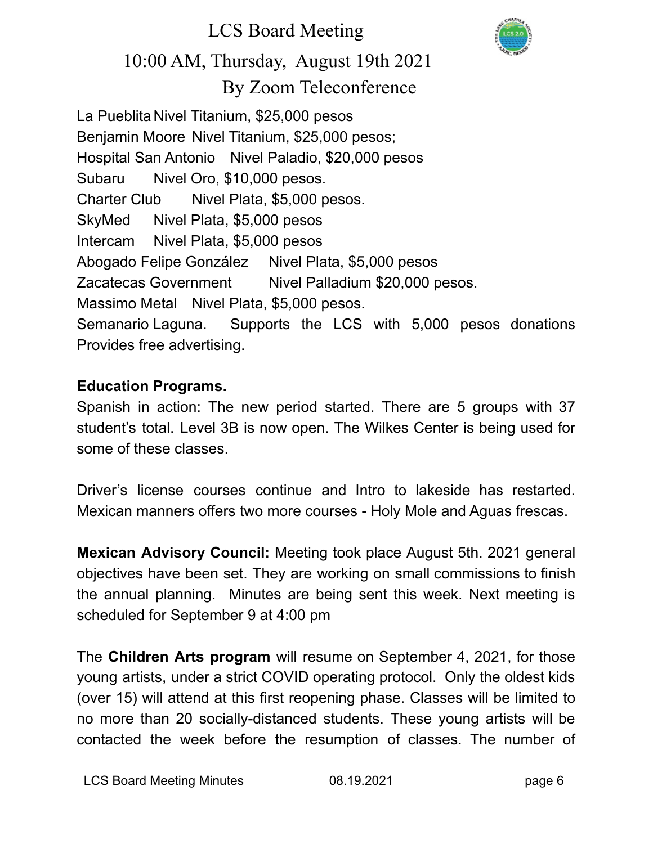

La Pueblita Nivel Titanium, \$25,000 pesos Benjamin Moore Nivel Titanium, \$25,000 pesos; Hospital San Antonio Nivel Paladio, \$20,000 pesos Subaru Nivel Oro, \$10,000 pesos. Charter Club Nivel Plata, \$5,000 pesos. SkyMed Nivel Plata, \$5,000 pesos Intercam Nivel Plata, \$5,000 pesos Abogado Felipe González Nivel Plata, \$5,000 pesos Zacatecas Government Nivel Palladium \$20,000 pesos. Massimo Metal Nivel Plata, \$5,000 pesos. Semanario Laguna. Supports the LCS with 5,000 pesos donations Provides free advertising.

### **Education Programs.**

Spanish in action: The new period started. There are 5 groups with 37 student's total. Level 3B is now open. The Wilkes Center is being used for some of these classes.

Driver's license courses continue and Intro to lakeside has restarted. Mexican manners offers two more courses - Holy Mole and Aguas frescas.

**Mexican Advisory Council:** Meeting took place August 5th. 2021 general objectives have been set. They are working on small commissions to finish the annual planning. Minutes are being sent this week. Next meeting is scheduled for September 9 at 4:00 pm

The **Children Arts program** will resume on September 4, 2021, for those young artists, under a strict COVID operating protocol. Only the oldest kids (over 15) will attend at this first reopening phase. Classes will be limited to no more than 20 socially-distanced students. These young artists will be contacted the week before the resumption of classes. The number of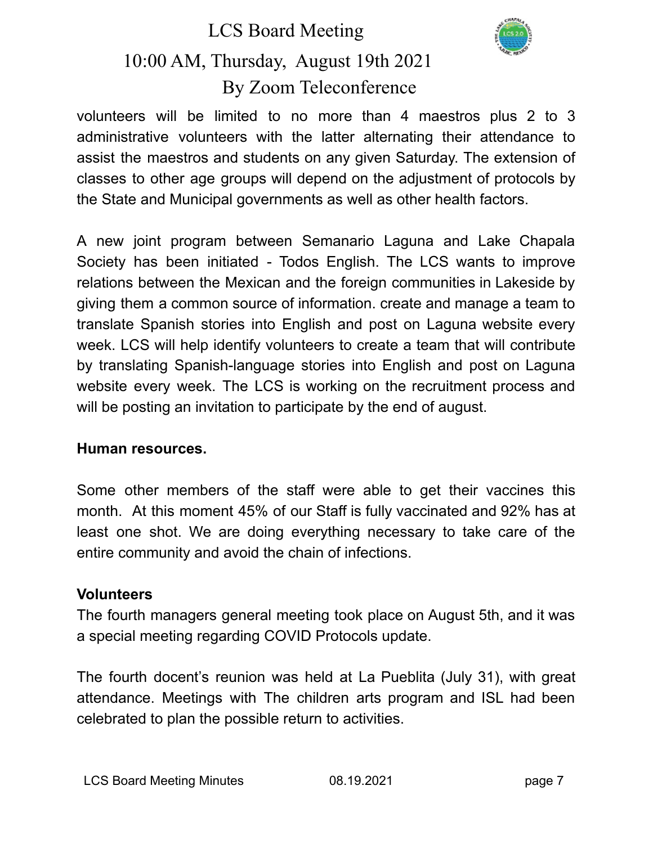

volunteers will be limited to no more than 4 maestros plus 2 to 3 administrative volunteers with the latter alternating their attendance to assist the maestros and students on any given Saturday. The extension of classes to other age groups will depend on the adjustment of protocols by the State and Municipal governments as well as other health factors.

A new joint program between Semanario Laguna and Lake Chapala Society has been initiated - Todos English. The LCS wants to improve relations between the Mexican and the foreign communities in Lakeside by giving them a common source of information. create and manage a team to translate Spanish stories into English and post on Laguna website every week. LCS will help identify volunteers to create a team that will contribute by translating Spanish-language stories into English and post on Laguna website every week. The LCS is working on the recruitment process and will be posting an invitation to participate by the end of august.

### **Human resources.**

Some other members of the staff were able to get their vaccines this month. At this moment 45% of our Staff is fully vaccinated and 92% has at least one shot. We are doing everything necessary to take care of the entire community and avoid the chain of infections.

### **Volunteers**

The fourth managers general meeting took place on August 5th, and it was a special meeting regarding COVID Protocols update.

The fourth docent's reunion was held at La Pueblita (July 31), with great attendance. Meetings with The children arts program and ISL had been celebrated to plan the possible return to activities.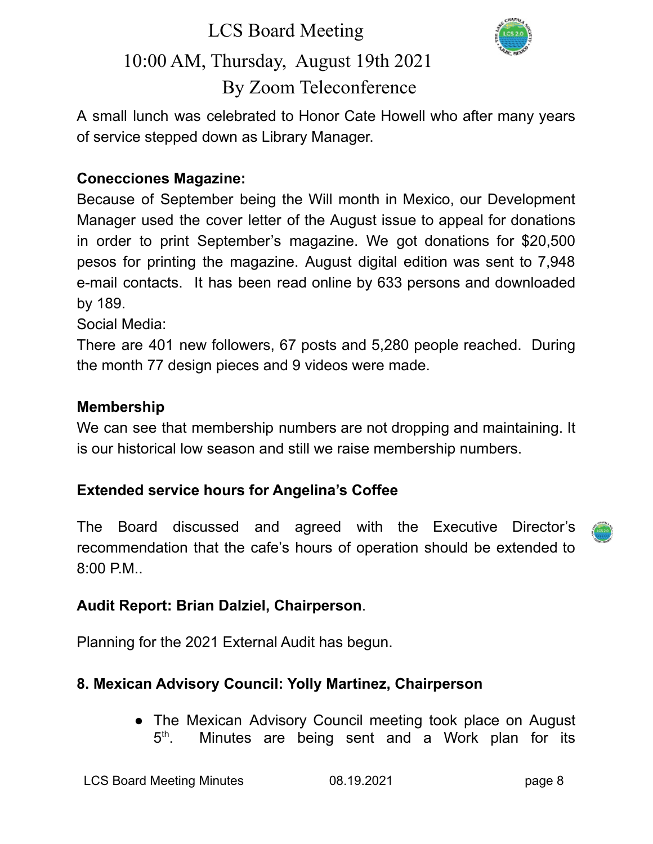# LCS Board Meeting



# 10:00 AM, Thursday, August 19th 2021 By Zoom Teleconference

A small lunch was celebrated to Honor Cate Howell who after many years of service stepped down as Library Manager.

## **Conecciones Magazine:**

Because of September being the Will month in Mexico, our Development Manager used the cover letter of the August issue to appeal for donations in order to print September's magazine. We got donations for \$20,500 pesos for printing the magazine. August digital edition was sent to 7,948 e-mail contacts. It has been read online by 633 persons and downloaded by 189.

Social Media:

There are 401 new followers, 67 posts and 5,280 people reached. During the month 77 design pieces and 9 videos were made.

### **Membership**

We can see that membership numbers are not dropping and maintaining. It is our historical low season and still we raise membership numbers.

## **Extended service hours for Angelina's Coffee**

The Board discussed and agreed with the Executive Director's recommendation that the cafe's hours of operation should be extended to 8:00 P.M..

## **Audit Report: Brian Dalziel, Chairperson**.

Planning for the 2021 External Audit has begun.

# **8. Mexican Advisory Council: Yolly Martinez, Chairperson**

• The Mexican Advisory Council meeting took place on August  $5^{\text{th}}$ . Minutes are being sent and a Work plan for its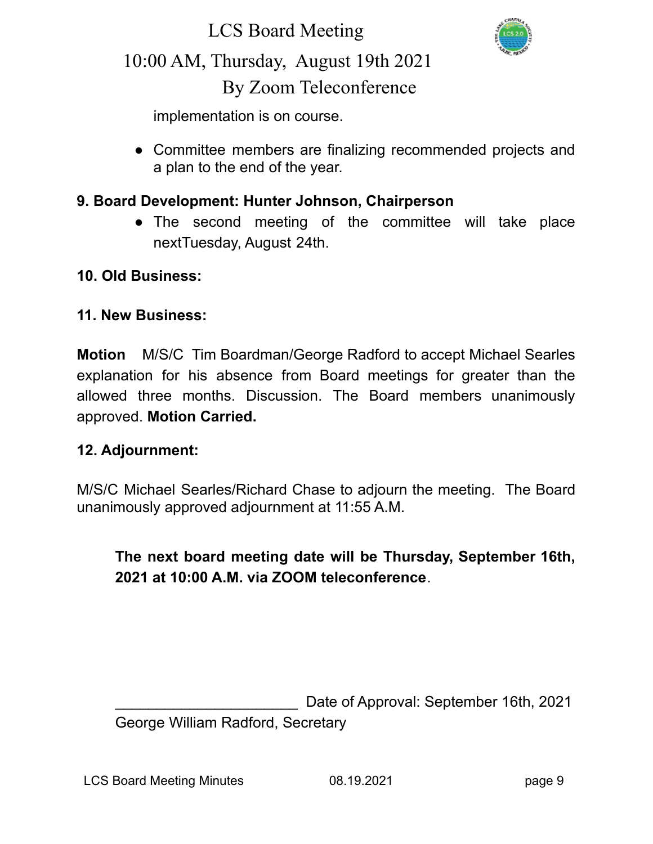

implementation is on course.

• Committee members are finalizing recommended projects and a plan to the end of the year.

### **9. Board Development: Hunter Johnson, Chairperson**

**●** The second meeting of the committee will take place nextTuesday, August 24th.

### **10. Old Business:**

#### **11. New Business:**

**Motion** M/S/C Tim Boardman/George Radford to accept Michael Searles explanation for his absence from Board meetings for greater than the allowed three months. Discussion. The Board members unanimously approved. **Motion Carried.**

### **12. Adjournment:**

M/S/C Michael Searles/Richard Chase to adjourn the meeting. The Board unanimously approved adjournment at 11:55 A.M.

# **The next board meeting date will be Thursday, September 16th, 2021 at 10:00 A.M. via ZOOM teleconference**.

Date of Approval: September 16th, 2021 George William Radford, Secretary